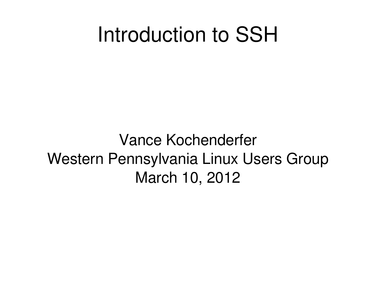#### Introduction to SSH

Vance Kochenderfer Western Pennsylvania Linux Users Group March 10, 2012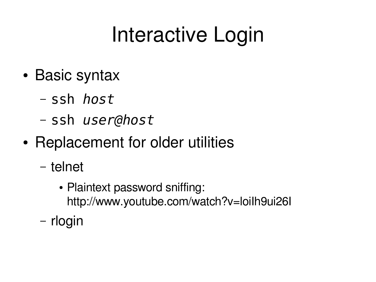## Interactive Login

- Basic syntax
	- ssh *host*
	- ssh *user@host*
- Replacement for older utilities
	- telnet
		- Plaintext password sniffing: http://www.youtube.com/watch?v=loiIh9ui26I
	- rlogin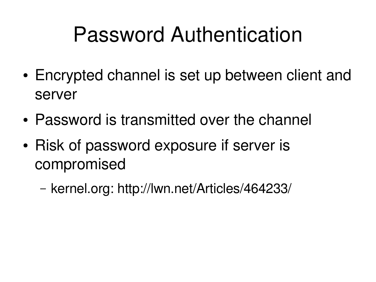#### Password Authentication

- Encrypted channel is set up between client and server
- Password is transmitted over the channel
- Risk of password exposure if server is compromised
	- kernel.org: http://lwn.net/Articles/464233/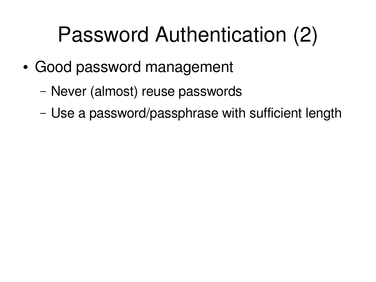## Password Authentication (2)

- Good password management
	- Never (almost) reuse passwords
	- Use a password/passphrase with sufficient length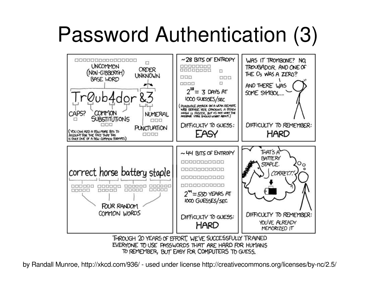## Password Authentication (3)



TO REMEMBER, BUT EASY FOR COMPUTERS TO GUESS.

by Randall Munroe, http://xkcd.com/936/ - used under license http://creativecommons.org/licenses/by-nc/2.5/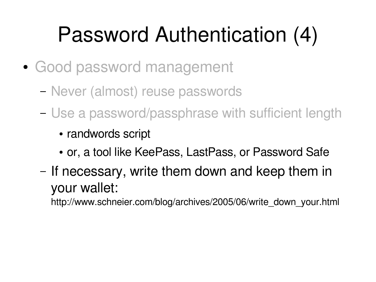## Password Authentication (4)

- Good password management
	- Never (almost) reuse passwords
	- Use a password/passphrase with sufficient length
		- randwords script
		- or, a tool like KeePass, LastPass, or Password Safe
	- If necessary, write them down and keep them in your wallet:

http://www.schneier.com/blog/archives/2005/06/write\_down\_your.html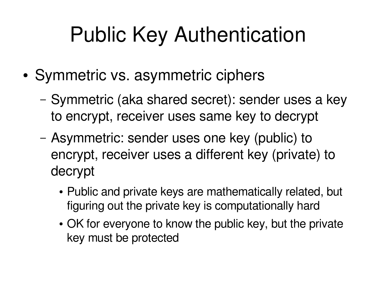## Public Key Authentication

- Symmetric vs. asymmetric ciphers
	- Symmetric (aka shared secret): sender uses a key to encrypt, receiver uses same key to decrypt
	- Asymmetric: sender uses one key (public) to encrypt, receiver uses a different key (private) to decrypt
		- Public and private keys are mathematically related, but figuring out the private key is computationally hard
		- OK for everyone to know the public key, but the private key must be protected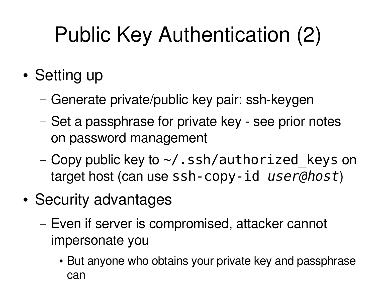# Public Key Authentication (2)

- Setting up
	- Generate private/public key pair: ssh-keygen
	- Set a passphrase for private key see prior notes on password management
	- Copy public key to  $\sim$ /.ssh/authorized keys on target host (can use ssh-copy-id *user@host*)
- Security advantages
	- Even if server is compromised, attacker cannot impersonate you
		- But anyone who obtains your private key and passphrase can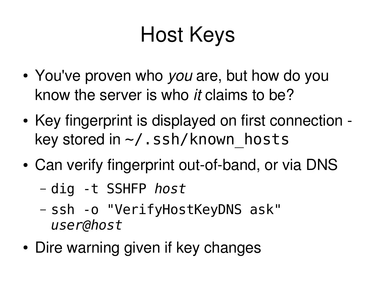## Host Keys

- You've proven who *you* are, but how do you know the server is who *it* claims to be?
- Key fingerprint is displayed on first connection key stored in  $\sim$ /.ssh/known\_hosts
- Can verify fingerprint out-of-band, or via DNS
	- dig -t SSHFP *host*
	- ssh -o "VerifyHostKeyDNS ask" *user@host*
- Dire warning given if key changes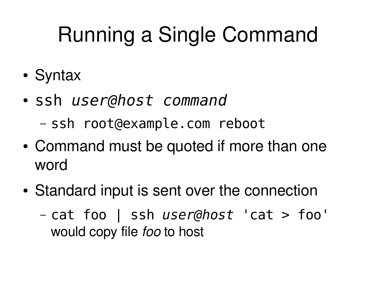# Running a Single Command

- Syntax
- ssh *user@host command*
	- ssh root@example.com reboot
- Command must be quoted if more than one word
- Standard input is sent over the connection
	- cat foo | ssh *user@host* 'cat > foo' would copy file *foo* to host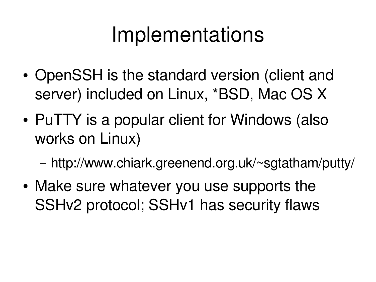#### Implementations

- OpenSSH is the standard version (client and server) included on Linux, \*BSD, Mac OS X
- PuTTY is a popular client for Windows (also works on Linux)
	- http://www.chiark.greenend.org.uk/~sgtatham/putty/
- Make sure whatever you use supports the SSHv2 protocol; SSHv1 has security flaws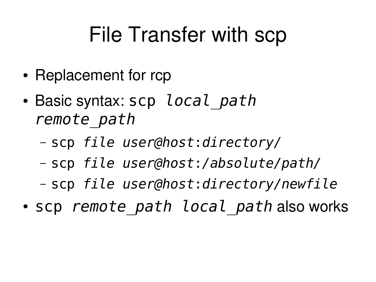#### File Transfer with scp

- Replacement for rcp
- Basic syntax: scp *local path remote\_path*
	- scp *file user@host*:*directory/*
	- scp *file user@host*:*/absolute/path/*
	- scp *file user@host*:*directory/newfile*
- scp *remote path local path* also works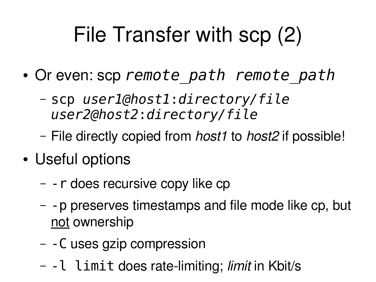## File Transfer with scp (2)

- Or even: scp *remote\_path remote\_path*
	- scp *user1@host1*:*directory/file user2@host2*:*directory/file*
	- File directly copied from *host1* to *host2* if possible!
- Useful options
	- -r does recursive copy like cp
	- -p preserves timestamps and file mode like cp, but not ownership
	- -C uses gzip compression
	- -l limit does ratelimiting; *limit* in Kbit/s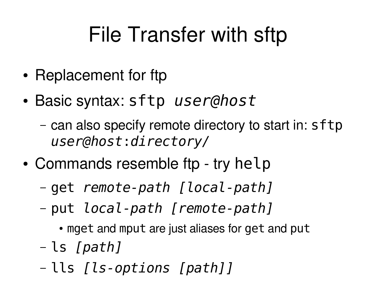## File Transfer with sftp

- Replacement for ftp
- Basic syntax: sftp *user@host*
	- can also specify remote directory to start in: sftp *user@host*:*directory/*
- Commands resemble ftp try help
	- get *remote-path [local-path]*
	- put *local-path [remote-path]*
		- mget and mput are just aliases for get and put
	- ls *[path]*
	- lls *[ls-options [path]]*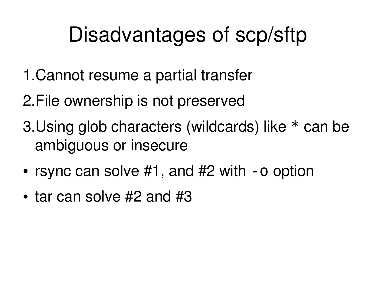#### Disadvantages of scp/sftp

- 1.Cannot resume a partial transfer
- 2.File ownership is not preserved
- 3.Using glob characters (wildcards) like \* can be ambiguous or insecure
- rsync can solve  $#1$ , and  $#2$  with  $-$ o option
- $\cdot$  tar can solve #2 and #3